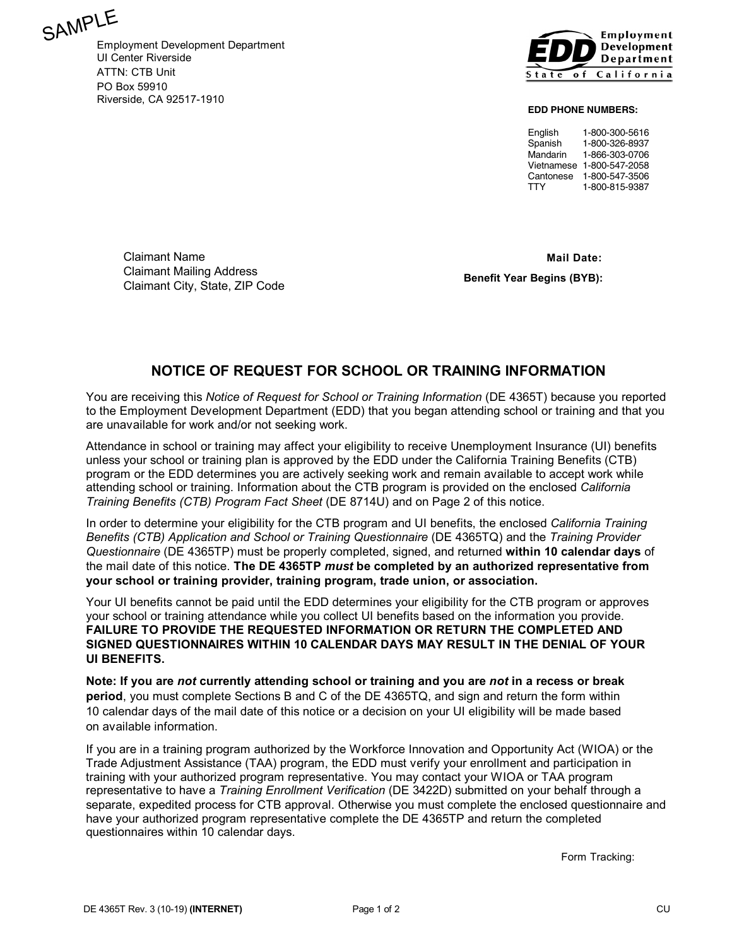

Employment Development Department UI Center Riverside ATTN: CTB Unit PO Box 59910 Riverside, CA 92517-1910



**EDD PHONE NUMBERS:**

English 1-800-300-5616<br>Spanish 1-800-326-8937 1-800-326-8937 Mandarin 1-866-303-0706 Vietnamese 1-800-547-2058 Cantonese 1-800-547-3506 TTY 1-800-815-9387

Claimant Name Claimant Mailing Address Claimant City, State, ZIP Code

 **Mail Date: Benefit Year Begins (BYB):**

# **NOTICE OF REQUEST FOR SCHOOL OR TRAINING INFORMATION**

You are receiving this *Notice of Request for School or Training Information* (DE 4365T) because you reported to the Employment Development Department (EDD) that you began attending school or training and that you are unavailable for work and/or not seeking work.

Attendance in school or training may affect your eligibility to receive Unemployment Insurance (UI) benefits unless your school or training plan is approved by the EDD under the California Training Benefits (CTB) program or the EDD determines you are actively seeking work and remain available to accept work while attending school or training. Information about the CTB program is provided on the enclosed *California Training Benefits (CTB) Program Fact Sheet* (DE 8714U) and on Page 2 of this notice.

In order to determine your eligibility for the CTB program and UI benefits, the enclosed *California Training Benefits (CTB) Application and School or Training Questionnaire* (DE 4365TQ) and the *Training Provider Questionnaire* (DE 4365TP) must be properly completed, signed, and returned **within 10 calendar days** of the mail date of this notice. **The DE 4365TP** *must* **be completed by an authorized representative from your school or training provider, training program, trade union, or association.**

Your UI benefits cannot be paid until the EDD determines your eligibility for the CTB program or approves your school or training attendance while you collect UI benefits based on the information you provide. **FAILURE TO PROVIDE THE REQUESTED INFORMATION OR RETURN THE COMPLETED AND SIGNED QUESTIONNAIRES WITHIN 10 CALENDAR DAYS MAY RESULT IN THE DENIAL OF YOUR UI BENEFITS.**

**Note: If you are** *not* **currently attending school or training and you are** *not* **in a recess or break period**, you must complete Sections B and C of the DE 4365TQ, and sign and return the form within 10 calendar days of the mail date of this notice or a decision on your UI eligibility will be made based on available information.

If you are in a training program authorized by the Workforce Innovation and Opportunity Act (WIOA) or the Trade Adjustment Assistance (TAA) program, the EDD must verify your enrollment and participation in training with your authorized program representative. You may contact your WIOA or TAA program representative to have a *Training Enrollment Verification* (DE 3422D) submitted on your behalf through a separate, expedited process for CTB approval. Otherwise you must complete the enclosed questionnaire and have your authorized program representative complete the DE 4365TP and return the completed questionnaires within 10 calendar days.

Form Tracking: